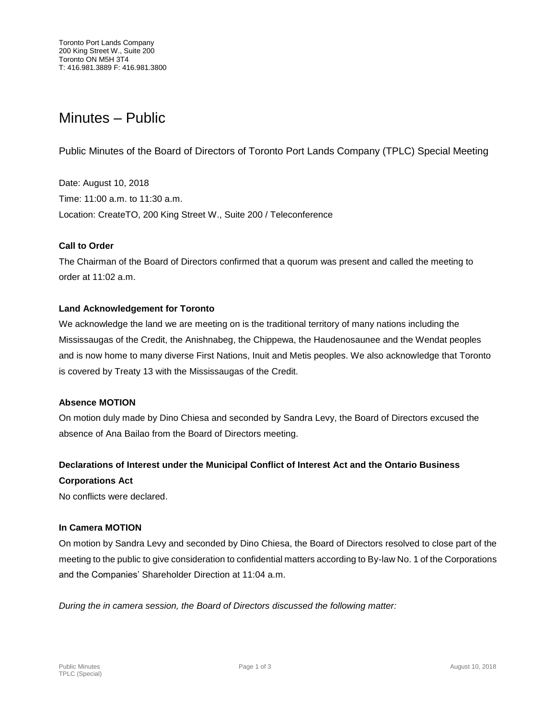# Minutes – Public

Public Minutes of the Board of Directors of Toronto Port Lands Company (TPLC) Special Meeting

Date: August 10, 2018 Time: 11:00 a.m. to 11:30 a.m. Location: CreateTO, 200 King Street W., Suite 200 / Teleconference

# **Call to Order**

The Chairman of the Board of Directors confirmed that a quorum was present and called the meeting to order at 11:02 a.m.

# **Land Acknowledgement for Toronto**

We acknowledge the land we are meeting on is the traditional territory of many nations including the Mississaugas of the Credit, the Anishnabeg, the Chippewa, the Haudenosaunee and the Wendat peoples and is now home to many diverse First Nations, Inuit and Metis peoples. We also acknowledge that Toronto is covered by Treaty 13 with the Mississaugas of the Credit.

# **Absence MOTION**

On motion duly made by Dino Chiesa and seconded by Sandra Levy, the Board of Directors excused the absence of Ana Bailao from the Board of Directors meeting.

# **Declarations of Interest under the Municipal Conflict of Interest Act and the Ontario Business**

#### **Corporations Act**

No conflicts were declared.

# **In Camera MOTION**

On motion by Sandra Levy and seconded by Dino Chiesa, the Board of Directors resolved to close part of the meeting to the public to give consideration to confidential matters according to By-law No. 1 of the Corporations and the Companies' Shareholder Direction at 11:04 a.m.

*During the in camera session, the Board of Directors discussed the following matter:*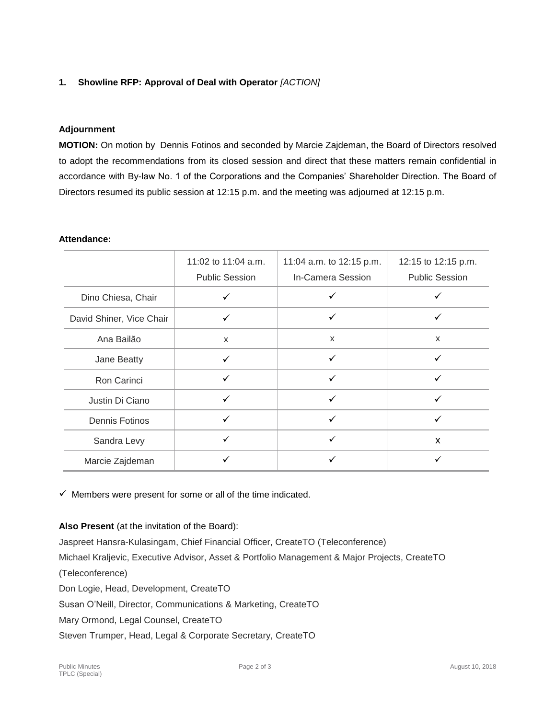# **1. Showline RFP: Approval of Deal with Operator** *[ACTION]*

# **Adjournment**

**MOTION:** On motion by Dennis Fotinos and seconded by Marcie Zajdeman, the Board of Directors resolved to adopt the recommendations from its closed session and direct that these matters remain confidential in accordance with By-law No. 1 of the Corporations and the Companies' Shareholder Direction. The Board of Directors resumed its public session at 12:15 p.m. and the meeting was adjourned at 12:15 p.m.

#### **Attendance:**

|                          | 11:02 to 11:04 a.m.<br><b>Public Session</b> | 11:04 a.m. to 12:15 p.m.<br><b>In-Camera Session</b> | 12:15 to 12:15 p.m.<br><b>Public Session</b> |
|--------------------------|----------------------------------------------|------------------------------------------------------|----------------------------------------------|
| Dino Chiesa, Chair       | ✓                                            |                                                      |                                              |
| David Shiner, Vice Chair | ✓                                            | ✓                                                    |                                              |
| Ana Bailão               | X                                            | X                                                    | X                                            |
| Jane Beatty              | $\checkmark$                                 | ✓                                                    | ✓                                            |
| Ron Carinci              | ✓                                            |                                                      |                                              |
| Justin Di Ciano          | ✓                                            | ✓                                                    |                                              |
| <b>Dennis Fotinos</b>    | ✓                                            |                                                      |                                              |
| Sandra Levy              | ✓                                            | $\checkmark$                                         | $\mathsf{x}$                                 |
| Marcie Zajdeman          | ✓                                            |                                                      |                                              |

 $\checkmark$  Members were present for some or all of the time indicated.

**Also Present** (at the invitation of the Board):

Jaspreet Hansra-Kulasingam, Chief Financial Officer, CreateTO (Teleconference)

Michael Kraljevic, Executive Advisor, Asset & Portfolio Management & Major Projects, CreateTO

(Teleconference)

Don Logie, Head, Development, CreateTO

Susan O'Neill, Director, Communications & Marketing, CreateTO

Mary Ormond, Legal Counsel, CreateTO

Steven Trumper, Head, Legal & Corporate Secretary, CreateTO